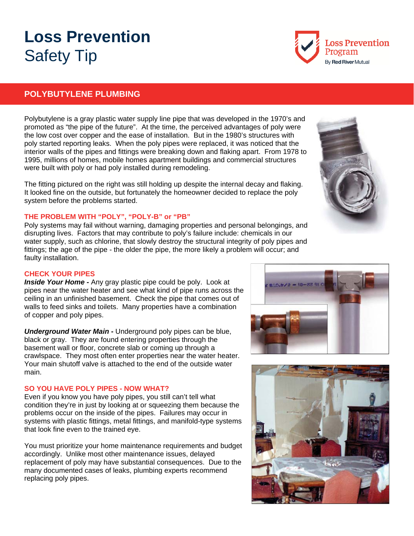# **Loss Prevention**  Safety Tip

## **POLYBUTYLENE PLUMBING**

Polybutylene is a gray plastic water supply line pipe that was developed in the 1970's and promoted as "the pipe of the future". At the time, the perceived advantages of poly were the low cost over copper and the ease of installation. But in the 1980's structures with poly started reporting leaks. When the poly pipes were replaced, it was noticed that the interior walls of the pipes and fittings were breaking down and flaking apart. From 1978 to 1995, millions of homes, mobile homes apartment buildings and commercial structures were built with poly or had poly installed during remodeling.

The fitting pictured on the right was still holding up despite the internal decay and flaking. It looked fine on the outside, but fortunately the homeowner decided to replace the poly system before the problems started.

#### **THE PROBLEM WITH "POLY", "POLY-B" or "PB"**

Poly systems may fail without warning, damaging properties and personal belongings, and disrupting lives. Factors that may contribute to poly's failure include: chemicals in our water supply, such as chlorine, that slowly destroy the structural integrity of poly pipes and fittings; the age of the pipe - the older the pipe, the more likely a problem will occur; and faulty installation.

#### **CHECK YOUR PIPES**

*Inside Your Home -* Any gray plastic pipe could be poly. Look at pipes near the water heater and see what kind of pipe runs across the ceiling in an unfinished basement. Check the pipe that comes out of walls to feed sinks and toilets. Many properties have a combination of copper and poly pipes.

*Underground Water Main -* Underground poly pipes can be blue, black or gray. They are found entering properties through the basement wall or floor, concrete slab or coming up through a crawlspace. They most often enter properties near the water heater. Your main shutoff valve is attached to the end of the outside water main.

#### **SO YOU HAVE POLY PIPES - NOW WHAT?**

Even if you know you have poly pipes, you still can't tell what condition they're in just by looking at or squeezing them because the problems occur on the inside of the pipes. Failures may occur in systems with plastic fittings, metal fittings, and manifold-type systems that look fine even to the trained eye.

You must prioritize your home maintenance requirements and budget accordingly. Unlike most other maintenance issues, delayed replacement of poly may have substantial consequences. Due to the many documented cases of leaks, plumbing experts recommend replacing poly pipes.